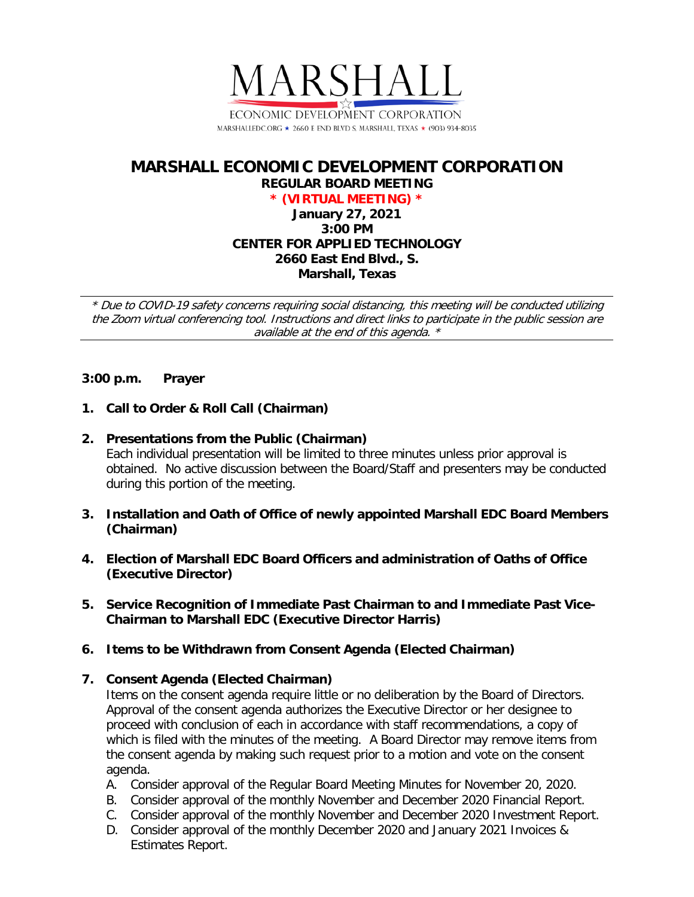

# **MARSHALL ECONOMIC DEVELOPMENT CORPORATION REGULAR BOARD MEETING**

**\* (VIRTUAL MEETING) \* January 27, 2021 3:00 PM CENTER FOR APPLIED TECHNOLOGY 2660 East End Blvd., S. Marshall, Texas**

\* Due to COVID-19 safety concerns requiring social distancing, this meeting will be conducted utilizing the Zoom virtual conferencing tool. Instructions and direct links to participate in the public session are available at the end of this agenda. \*

## **3:00 p.m. Prayer**

- **1. Call to Order & Roll Call (Chairman)**
- **2. Presentations from the Public (Chairman)**

Each individual presentation will be limited to three minutes unless prior approval is obtained. No active discussion between the Board/Staff and presenters may be conducted during this portion of the meeting.

- **3. Installation and Oath of Office of newly appointed Marshall EDC Board Members (Chairman)**
- **4. Election of Marshall EDC Board Officers and administration of Oaths of Office (Executive Director)**
- **5. Service Recognition of Immediate Past Chairman to and Immediate Past Vice-Chairman to Marshall EDC (Executive Director Harris)**
- **6. Items to be Withdrawn from Consent Agenda (Elected Chairman)**

## **7. Consent Agenda (Elected Chairman)**

Items on the consent agenda require little or no deliberation by the Board of Directors. Approval of the consent agenda authorizes the Executive Director or her designee to proceed with conclusion of each in accordance with staff recommendations, a copy of which is filed with the minutes of the meeting. A Board Director may remove items from the consent agenda by making such request prior to a motion and vote on the consent agenda.

- A. Consider approval of the Regular Board Meeting Minutes for November 20, 2020.
- B. Consider approval of the monthly November and December 2020 Financial Report.
- C. Consider approval of the monthly November and December 2020 Investment Report.
- D. Consider approval of the monthly December 2020 and January 2021 Invoices & Estimates Report.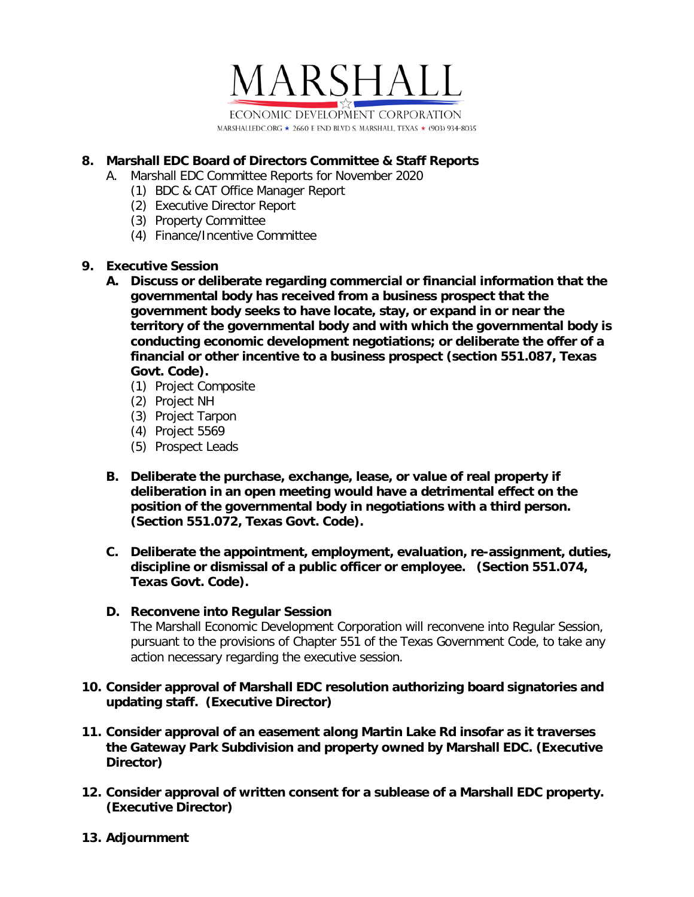

# **8. Marshall EDC Board of Directors Committee & Staff Reports**

- A. Marshall EDC Committee Reports for November 2020
	- (1) BDC & CAT Office Manager Report
	- (2) Executive Director Report
	- (3) Property Committee
	- (4) Finance/Incentive Committee

## **9. Executive Session**

- **A. Discuss or deliberate regarding commercial or financial information that the governmental body has received from a business prospect that the government body seeks to have locate, stay, or expand in or near the territory of the governmental body and with which the governmental body is conducting economic development negotiations; or deliberate the offer of a financial or other incentive to a business prospect (section 551.087, Texas Govt. Code).**
	- (1) Project Composite
	- (2) Project NH
	- (3) Project Tarpon
	- (4) Project 5569
	- (5) Prospect Leads
- **B. Deliberate the purchase, exchange, lease, or value of real property if deliberation in an open meeting would have a detrimental effect on the position of the governmental body in negotiations with a third person. (Section 551.072, Texas Govt. Code).**
- **C. Deliberate the appointment, employment, evaluation, re-assignment, duties, discipline or dismissal of a public officer or employee. (Section 551.074, Texas Govt. Code).**

## **D. Reconvene into Regular Session**

The Marshall Economic Development Corporation will reconvene into Regular Session, pursuant to the provisions of Chapter 551 of the Texas Government Code, to take any action necessary regarding the executive session.

## **10. Consider approval of Marshall EDC resolution authorizing board signatories and updating staff. (Executive Director)**

- **11. Consider approval of an easement along Martin Lake Rd insofar as it traverses the Gateway Park Subdivision and property owned by Marshall EDC. (Executive Director)**
- **12. Consider approval of written consent for a sublease of a Marshall EDC property. (Executive Director)**
- **13. Adjournment**